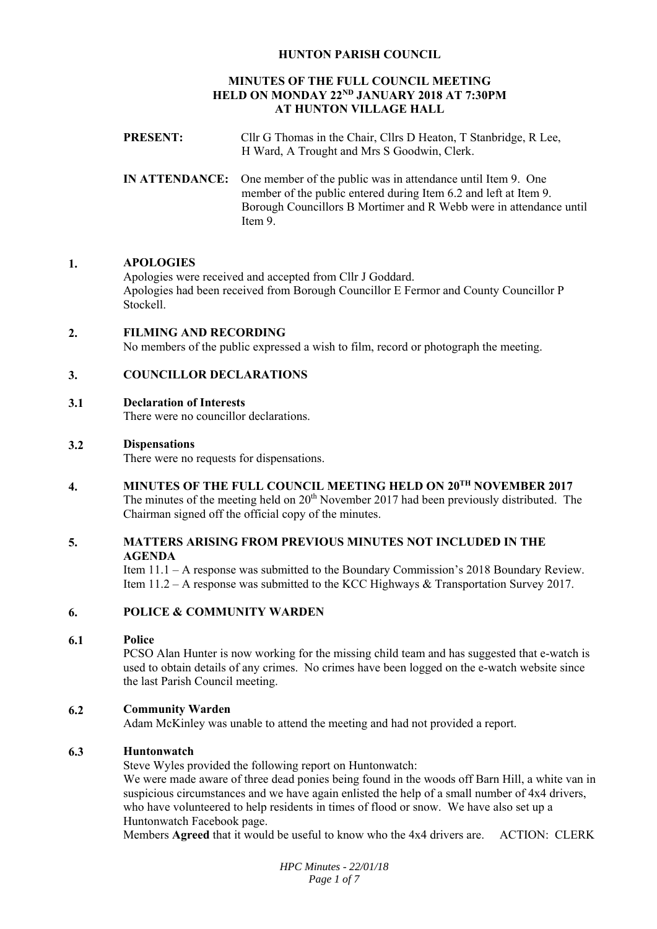# **HUNTON PARISH COUNCIL**

# **MINUTES OF THE FULL COUNCIL MEETING HELD ON MONDAY 22ND JANUARY 2018 AT 7:30PM AT HUNTON VILLAGE HALL**

| <b>PRESENT:</b> | Cllr G Thomas in the Chair, Cllrs D Heaton, T Stanbridge, R Lee,<br>H Ward, A Trought and Mrs S Goodwin, Clerk.                                                                                                                         |
|-----------------|-----------------------------------------------------------------------------------------------------------------------------------------------------------------------------------------------------------------------------------------|
|                 | <b>IN ATTENDANCE:</b> One member of the public was in attendance until Item 9. One<br>member of the public entered during Item 6.2 and left at Item 9.<br>Borough Councillors B Mortimer and R Webb were in attendance until<br>Item 9. |

# **1. APOLOGIES**

Apologies were received and accepted from Cllr J Goddard. Apologies had been received from Borough Councillor E Fermor and County Councillor P Stockell.

# **2. FILMING AND RECORDING**

No members of the public expressed a wish to film, record or photograph the meeting.

#### **3. COUNCILLOR DECLARATIONS**

#### **3.1 Declaration of Interests**

There were no councillor declarations.

#### **3.2 Dispensations**

There were no requests for dispensations.

**4. MINUTES OF THE FULL COUNCIL MEETING HELD ON 20TH NOVEMBER 2017** 

The minutes of the meeting held on  $20<sup>th</sup>$  November 2017 had been previously distributed. The Chairman signed off the official copy of the minutes.

# **5. MATTERS ARISING FROM PREVIOUS MINUTES NOT INCLUDED IN THE AGENDA**

Item 11.1 – A response was submitted to the Boundary Commission's 2018 Boundary Review. Item 11.2 – A response was submitted to the KCC Highways & Transportation Survey 2017.

# **6. POLICE & COMMUNITY WARDEN**

#### **6.1 Police**

PCSO Alan Hunter is now working for the missing child team and has suggested that e-watch is used to obtain details of any crimes. No crimes have been logged on the e-watch website since the last Parish Council meeting.

#### **6.2 Community Warden**

Adam McKinley was unable to attend the meeting and had not provided a report.

#### **6.3 Huntonwatch**

Steve Wyles provided the following report on Huntonwatch:

We were made aware of three dead ponies being found in the woods off Barn Hill, a white van in suspicious circumstances and we have again enlisted the help of a small number of 4x4 drivers, who have volunteered to help residents in times of flood or snow. We have also set up a Huntonwatch Facebook page.

Members **Agreed** that it would be useful to know who the 4x4 drivers are. ACTION: CLERK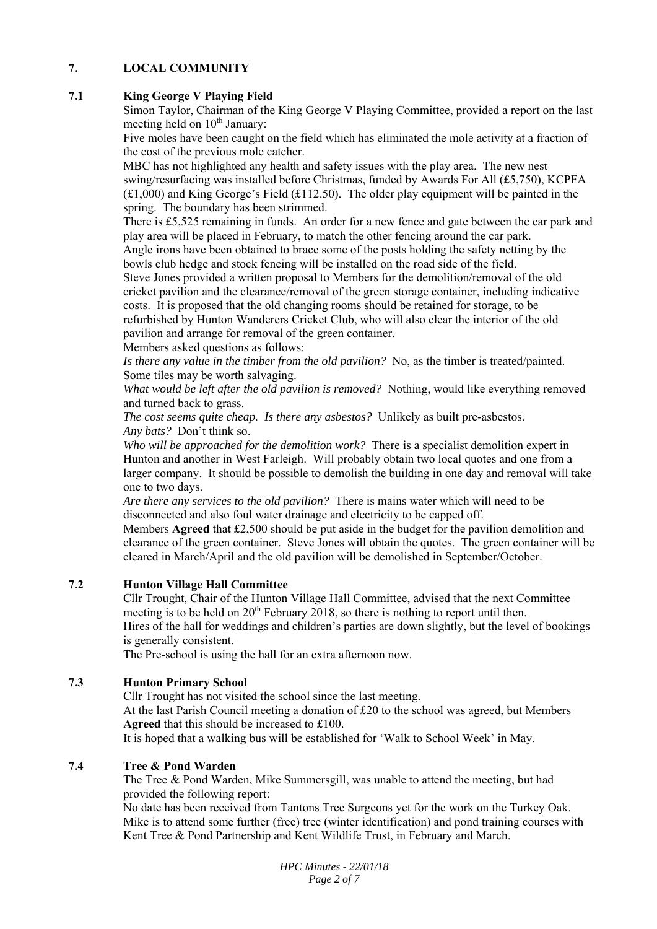# **7. LOCAL COMMUNITY**

# **7.1 King George V Playing Field**

Simon Taylor, Chairman of the King George V Playing Committee, provided a report on the last meeting held on  $10^{th}$  January:

Five moles have been caught on the field which has eliminated the mole activity at a fraction of the cost of the previous mole catcher.

MBC has not highlighted any health and safety issues with the play area. The new nest swing/resurfacing was installed before Christmas, funded by Awards For All (£5,750), KCPFA  $(£1,000)$  and King George's Field  $(£112.50)$ . The older play equipment will be painted in the spring. The boundary has been strimmed.

There is £5,525 remaining in funds. An order for a new fence and gate between the car park and play area will be placed in February, to match the other fencing around the car park.

Angle irons have been obtained to brace some of the posts holding the safety netting by the bowls club hedge and stock fencing will be installed on the road side of the field.

Steve Jones provided a written proposal to Members for the demolition/removal of the old cricket pavilion and the clearance/removal of the green storage container, including indicative costs. It is proposed that the old changing rooms should be retained for storage, to be refurbished by Hunton Wanderers Cricket Club, who will also clear the interior of the old pavilion and arrange for removal of the green container.

Members asked questions as follows:

*Is there any value in the timber from the old pavilion?* No, as the timber is treated/painted. Some tiles may be worth salvaging.

*What would be left after the old pavilion is removed?* Nothing, would like everything removed and turned back to grass.

*The cost seems quite cheap. Is there any asbestos?* Unlikely as built pre-asbestos. *Any bats?* Don't think so.

*Who will be approached for the demolition work?* There is a specialist demolition expert in Hunton and another in West Farleigh. Will probably obtain two local quotes and one from a larger company. It should be possible to demolish the building in one day and removal will take one to two days.

*Are there any services to the old pavilion?* There is mains water which will need to be disconnected and also foul water drainage and electricity to be capped off.

Members **Agreed** that £2,500 should be put aside in the budget for the pavilion demolition and clearance of the green container. Steve Jones will obtain the quotes. The green container will be cleared in March/April and the old pavilion will be demolished in September/October.

#### **7.2 Hunton Village Hall Committee**

Cllr Trought, Chair of the Hunton Village Hall Committee, advised that the next Committee meeting is to be held on  $20^{th}$  February 2018, so there is nothing to report until then. Hires of the hall for weddings and children's parties are down slightly, but the level of bookings is generally consistent.

The Pre-school is using the hall for an extra afternoon now.

# **7.3 Hunton Primary School**

Cllr Trought has not visited the school since the last meeting. At the last Parish Council meeting a donation of £20 to the school was agreed, but Members **Agreed** that this should be increased to £100.

It is hoped that a walking bus will be established for 'Walk to School Week' in May.

# **7.4 Tree & Pond Warden**

The Tree & Pond Warden, Mike Summersgill, was unable to attend the meeting, but had provided the following report:

No date has been received from Tantons Tree Surgeons yet for the work on the Turkey Oak. Mike is to attend some further (free) tree (winter identification) and pond training courses with Kent Tree & Pond Partnership and Kent Wildlife Trust, in February and March.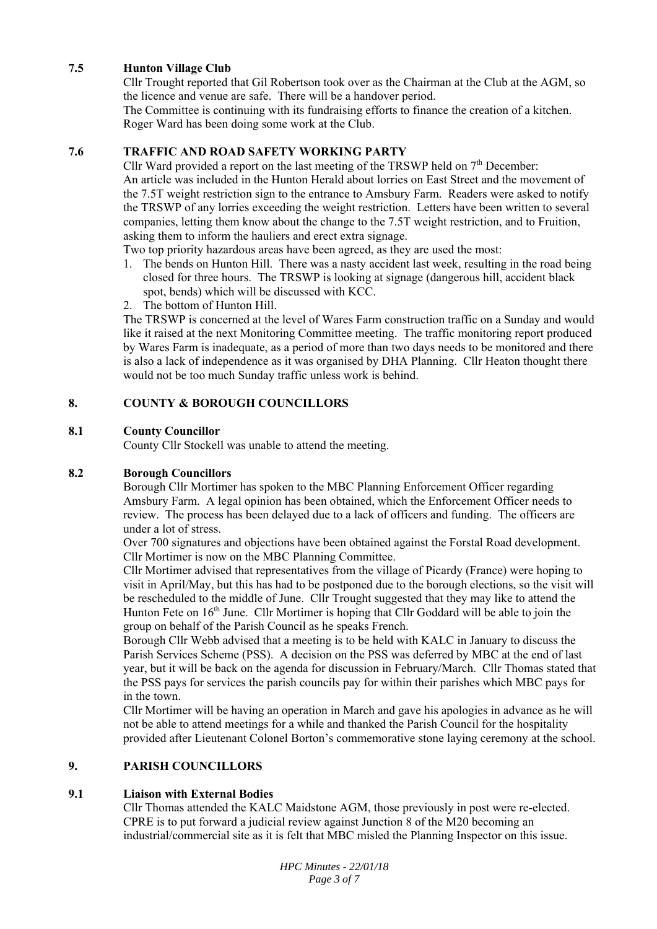# **7.5 Hunton Village Club**

Cllr Trought reported that Gil Robertson took over as the Chairman at the Club at the AGM, so the licence and venue are safe. There will be a handover period.

The Committee is continuing with its fundraising efforts to finance the creation of a kitchen. Roger Ward has been doing some work at the Club.

# **7.6 TRAFFIC AND ROAD SAFETY WORKING PARTY**

Cllr Ward provided a report on the last meeting of the TRSWP held on  $7<sup>th</sup>$  December: An article was included in the Hunton Herald about lorries on East Street and the movement of the 7.5T weight restriction sign to the entrance to Amsbury Farm. Readers were asked to notify the TRSWP of any lorries exceeding the weight restriction. Letters have been written to several companies, letting them know about the change to the 7.5T weight restriction, and to Fruition, asking them to inform the hauliers and erect extra signage.

Two top priority hazardous areas have been agreed, as they are used the most:

- 1. The bends on Hunton Hill. There was a nasty accident last week, resulting in the road being closed for three hours. The TRSWP is looking at signage (dangerous hill, accident black spot, bends) which will be discussed with KCC.
- 2. The bottom of Hunton Hill.

The TRSWP is concerned at the level of Wares Farm construction traffic on a Sunday and would like it raised at the next Monitoring Committee meeting. The traffic monitoring report produced by Wares Farm is inadequate, as a period of more than two days needs to be monitored and there is also a lack of independence as it was organised by DHA Planning. Cllr Heaton thought there would not be too much Sunday traffic unless work is behind.

# **8. COUNTY & BOROUGH COUNCILLORS**

# **8.1 County Councillor**

County Cllr Stockell was unable to attend the meeting.

# **8.2 Borough Councillors**

Borough Cllr Mortimer has spoken to the MBC Planning Enforcement Officer regarding Amsbury Farm. A legal opinion has been obtained, which the Enforcement Officer needs to review. The process has been delayed due to a lack of officers and funding. The officers are under a lot of stress.

Over 700 signatures and objections have been obtained against the Forstal Road development. Cllr Mortimer is now on the MBC Planning Committee.

Cllr Mortimer advised that representatives from the village of Picardy (France) were hoping to visit in April/May, but this has had to be postponed due to the borough elections, so the visit will be rescheduled to the middle of June. Cllr Trought suggested that they may like to attend the Hunton Fete on  $16<sup>th</sup>$  June. Cllr Mortimer is hoping that Cllr Goddard will be able to join the group on behalf of the Parish Council as he speaks French.

Borough Cllr Webb advised that a meeting is to be held with KALC in January to discuss the Parish Services Scheme (PSS). A decision on the PSS was deferred by MBC at the end of last year, but it will be back on the agenda for discussion in February/March. Cllr Thomas stated that the PSS pays for services the parish councils pay for within their parishes which MBC pays for in the town.

Cllr Mortimer will be having an operation in March and gave his apologies in advance as he will not be able to attend meetings for a while and thanked the Parish Council for the hospitality provided after Lieutenant Colonel Borton's commemorative stone laying ceremony at the school.

# **9. PARISH COUNCILLORS**

#### **9.1 Liaison with External Bodies**

Cllr Thomas attended the KALC Maidstone AGM, those previously in post were re-elected. CPRE is to put forward a judicial review against Junction 8 of the M20 becoming an industrial/commercial site as it is felt that MBC misled the Planning Inspector on this issue.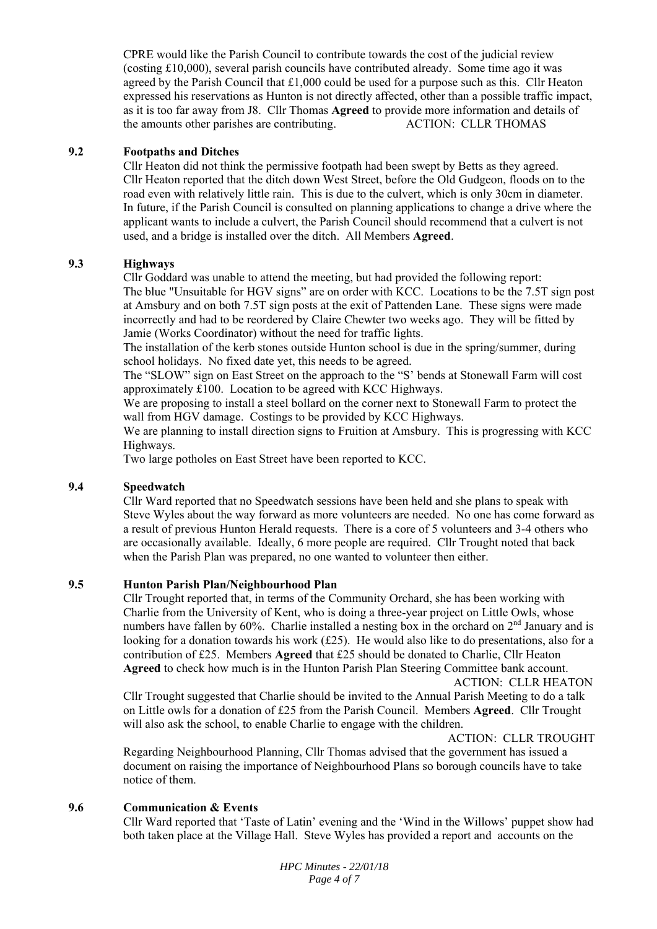CPRE would like the Parish Council to contribute towards the cost of the judicial review (costing £10,000), several parish councils have contributed already. Some time ago it was agreed by the Parish Council that £1,000 could be used for a purpose such as this. Cllr Heaton expressed his reservations as Hunton is not directly affected, other than a possible traffic impact, as it is too far away from J8. Cllr Thomas **Agreed** to provide more information and details of the amounts other parishes are contributing. ACTION: CLLR THOMAS

# **9.2 Footpaths and Ditches**

Cllr Heaton did not think the permissive footpath had been swept by Betts as they agreed. Cllr Heaton reported that the ditch down West Street, before the Old Gudgeon, floods on to the road even with relatively little rain. This is due to the culvert, which is only 30cm in diameter. In future, if the Parish Council is consulted on planning applications to change a drive where the applicant wants to include a culvert, the Parish Council should recommend that a culvert is not used, and a bridge is installed over the ditch. All Members **Agreed**.

# **9.3 Highways**

Cllr Goddard was unable to attend the meeting, but had provided the following report: The blue "Unsuitable for HGV signs" are on order with KCC. Locations to be the 7.5T sign post at Amsbury and on both 7.5T sign posts at the exit of Pattenden Lane. These signs were made incorrectly and had to be reordered by Claire Chewter two weeks ago. They will be fitted by Jamie (Works Coordinator) without the need for traffic lights.

The installation of the kerb stones outside Hunton school is due in the spring/summer, during school holidays. No fixed date yet, this needs to be agreed.

The "SLOW" sign on East Street on the approach to the "S' bends at Stonewall Farm will cost approximately £100. Location to be agreed with KCC Highways.

We are proposing to install a steel bollard on the corner next to Stonewall Farm to protect the wall from HGV damage. Costings to be provided by KCC Highways.

We are planning to install direction signs to Fruition at Amsbury. This is progressing with KCC Highways.

Two large potholes on East Street have been reported to KCC.

# **9.4 Speedwatch**

Cllr Ward reported that no Speedwatch sessions have been held and she plans to speak with Steve Wyles about the way forward as more volunteers are needed. No one has come forward as a result of previous Hunton Herald requests. There is a core of 5 volunteers and 3-4 others who are occasionally available. Ideally, 6 more people are required. Cllr Trought noted that back when the Parish Plan was prepared, no one wanted to volunteer then either.

#### **9.5 Hunton Parish Plan/Neighbourhood Plan**

Cllr Trought reported that, in terms of the Community Orchard, she has been working with Charlie from the University of Kent, who is doing a three-year project on Little Owls, whose numbers have fallen by  $60\%$ . Charlie installed a nesting box in the orchard on  $2<sup>nd</sup>$  January and is looking for a donation towards his work  $(E25)$ . He would also like to do presentations, also for a contribution of £25. Members **Agreed** that £25 should be donated to Charlie, Cllr Heaton **Agreed** to check how much is in the Hunton Parish Plan Steering Committee bank account.

ACTION: CLLR HEATON

Cllr Trought suggested that Charlie should be invited to the Annual Parish Meeting to do a talk on Little owls for a donation of £25 from the Parish Council. Members **Agreed**. Cllr Trought will also ask the school, to enable Charlie to engage with the children.

ACTION: CLLR TROUGHT

Regarding Neighbourhood Planning, Cllr Thomas advised that the government has issued a document on raising the importance of Neighbourhood Plans so borough councils have to take notice of them.

#### **9.6 Communication & Events**

Cllr Ward reported that 'Taste of Latin' evening and the 'Wind in the Willows' puppet show had both taken place at the Village Hall. Steve Wyles has provided a report and accounts on the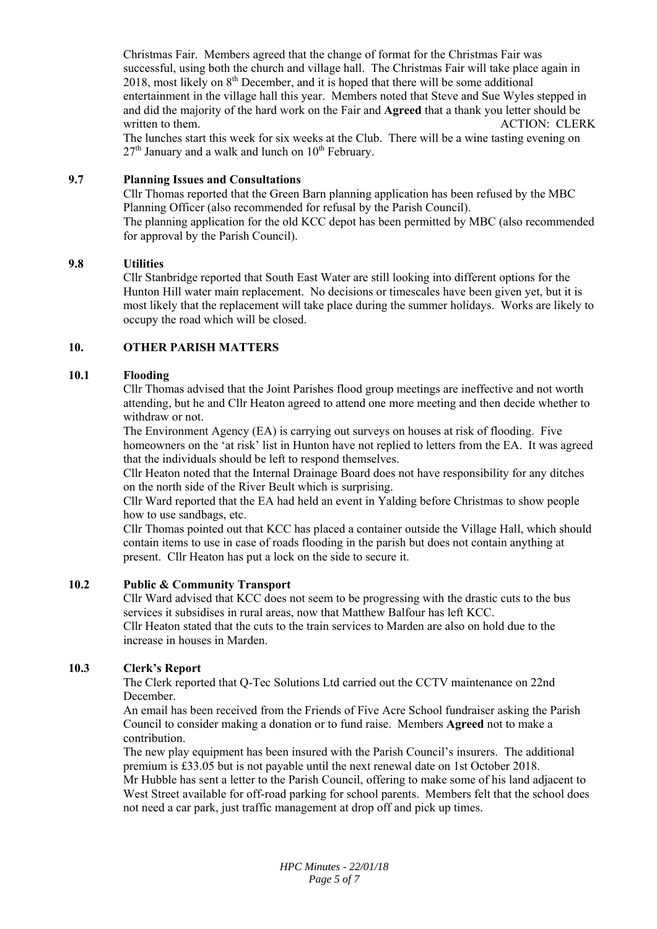Christmas Fair. Members agreed that the change of format for the Christmas Fair was successful, using both the church and village hall. The Christmas Fair will take place again in 2018, most likely on  $8<sup>th</sup>$  December, and it is hoped that there will be some additional entertainment in the village hall this year. Members noted that Steve and Sue Wyles stepped in and did the majority of the hard work on the Fair and **Agreed** that a thank you letter should be written to them. ACTION: CLERK

The lunches start this week for six weeks at the Club. There will be a wine tasting evening on  $27<sup>th</sup>$  January and a walk and lunch on  $10<sup>th</sup>$  February.

# **9.7 Planning Issues and Consultations**

Cllr Thomas reported that the Green Barn planning application has been refused by the MBC Planning Officer (also recommended for refusal by the Parish Council). The planning application for the old KCC depot has been permitted by MBC (also recommended for approval by the Parish Council).

#### **9.8 Utilities**

Cllr Stanbridge reported that South East Water are still looking into different options for the Hunton Hill water main replacement. No decisions or timescales have been given yet, but it is most likely that the replacement will take place during the summer holidays. Works are likely to occupy the road which will be closed.

# **10. OTHER PARISH MATTERS**

# **10.1 Flooding**

Cllr Thomas advised that the Joint Parishes flood group meetings are ineffective and not worth attending, but he and Cllr Heaton agreed to attend one more meeting and then decide whether to withdraw or not.

The Environment Agency (EA) is carrying out surveys on houses at risk of flooding. Five homeowners on the 'at risk' list in Hunton have not replied to letters from the EA. It was agreed that the individuals should be left to respond themselves.

Cllr Heaton noted that the Internal Drainage Board does not have responsibility for any ditches on the north side of the River Beult which is surprising.

Cllr Ward reported that the EA had held an event in Yalding before Christmas to show people how to use sandbags, etc.

Cllr Thomas pointed out that KCC has placed a container outside the Village Hall, which should contain items to use in case of roads flooding in the parish but does not contain anything at present. Cllr Heaton has put a lock on the side to secure it.

#### **10.2 Public & Community Transport**

Cllr Ward advised that KCC does not seem to be progressing with the drastic cuts to the bus services it subsidises in rural areas, now that Matthew Balfour has left KCC. Cllr Heaton stated that the cuts to the train services to Marden are also on hold due to the increase in houses in Marden.

# **10.3 Clerk's Report**

The Clerk reported that Q-Tec Solutions Ltd carried out the CCTV maintenance on 22nd December.

An email has been received from the Friends of Five Acre School fundraiser asking the Parish Council to consider making a donation or to fund raise. Members **Agreed** not to make a contribution.

The new play equipment has been insured with the Parish Council's insurers. The additional premium is £33.05 but is not payable until the next renewal date on 1st October 2018. Mr Hubble has sent a letter to the Parish Council, offering to make some of his land adjacent to West Street available for off-road parking for school parents. Members felt that the school does not need a car park, just traffic management at drop off and pick up times.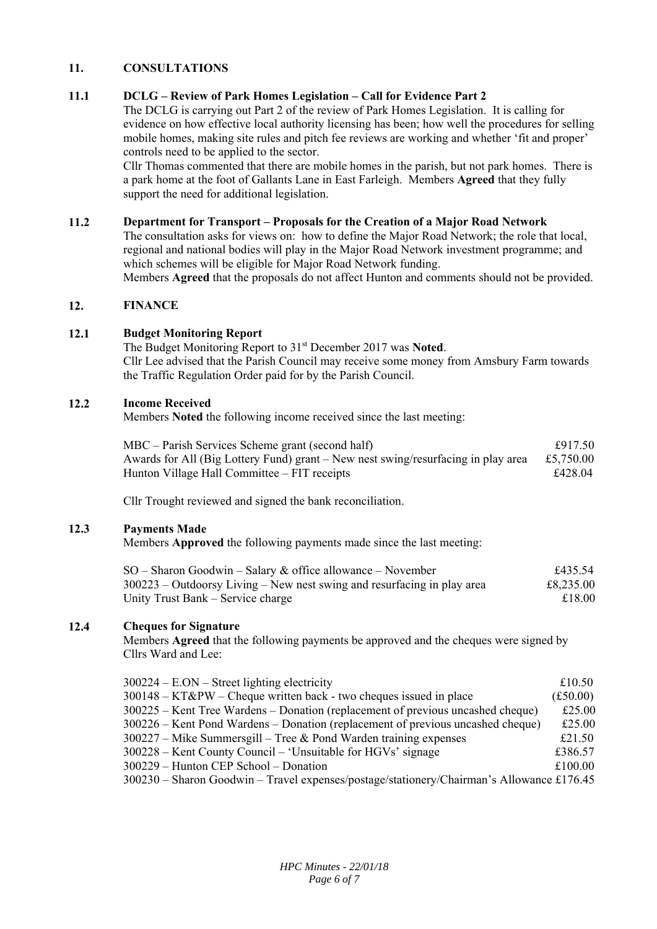#### **11. CONSULTATIONS**

#### **11.1 DCLG – Review of Park Homes Legislation – Call for Evidence Part 2**

The DCLG is carrying out Part 2 of the review of Park Homes Legislation. It is calling for evidence on how effective local authority licensing has been; how well the procedures for selling mobile homes, making site rules and pitch fee reviews are working and whether 'fit and proper' controls need to be applied to the sector.

Cllr Thomas commented that there are mobile homes in the parish, but not park homes. There is a park home at the foot of Gallants Lane in East Farleigh. Members **Agreed** that they fully support the need for additional legislation.

#### **11.2 Department for Transport – Proposals for the Creation of a Major Road Network**

The consultation asks for views on: how to define the Major Road Network; the role that local, regional and national bodies will play in the Major Road Network investment programme; and which schemes will be eligible for Major Road Network funding.

Members **Agreed** that the proposals do not affect Hunton and comments should not be provided.

#### **12. FINANCE**

# **12.1 Budget Monitoring Report**

The Budget Monitoring Report to 31<sup>st</sup> December 2017 was Noted. Cllr Lee advised that the Parish Council may receive some money from Amsbury Farm towards the Traffic Regulation Order paid for by the Parish Council.

#### **12.2 Income Received**

Members **Noted** the following income received since the last meeting:

| MBC – Parish Services Scheme grant (second half)                                  | £917.50   |
|-----------------------------------------------------------------------------------|-----------|
| Awards for All (Big Lottery Fund) grant – New nest swing/resurfacing in play area | £5,750.00 |
| Hunton Village Hall Committee – FIT receipts                                      | £428.04   |

Cllr Trought reviewed and signed the bank reconciliation.

#### **12.3 Payments Made**

Members **Approved** the following payments made since the last meeting:

| $SO -$ Sharon Goodwin – Salary & office allowance – November              | £435.54   |
|---------------------------------------------------------------------------|-----------|
| $300223 - Outdoorsy Living - New nest swing and resurfacing in play area$ | £8,235.00 |
| Unity Trust Bank – Service charge                                         | £18.00    |

#### **12.4 Cheques for Signature**

Members **Agreed** that the following payments be approved and the cheques were signed by Cllrs Ward and Lee:

| $300224 - E. ON - Street lighting electricity$                                            | £10.50            |
|-------------------------------------------------------------------------------------------|-------------------|
| 300148 – KT&PW – Cheque written back - two cheques issued in place                        | $(\pounds 50.00)$ |
| 300225 – Kent Tree Wardens – Donation (replacement of previous uncashed cheque)           | £25.00            |
| 300226 – Kent Pond Wardens – Donation (replacement of previous uncashed cheque)           | £25.00            |
| $300227$ – Mike Summersgill – Tree & Pond Warden training expenses                        | £21.50            |
| 300228 – Kent County Council – 'Unsuitable for HGVs' signage                              | £386.57           |
| 300229 – Hunton CEP School – Donation                                                     | £100.00           |
| 300230 – Sharon Goodwin – Travel expenses/postage/stationery/Chairman's Allowance £176.45 |                   |